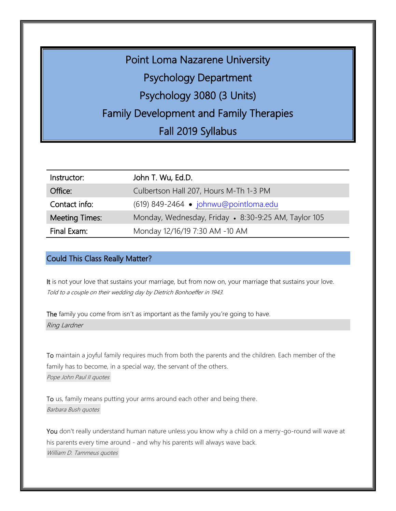Point Loma Nazarene University Psychology Department Psychology 3080 (3 Units) Family Development and Family Therapies Fall 2019 Syllabus

| Instructor:           | John T. Wu, Ed.D.                                    |
|-----------------------|------------------------------------------------------|
| Office:               | Culbertson Hall 207, Hours M-Th 1-3 PM               |
| Contact info:         | (619) 849-2464 • johnwu@pointloma.edu                |
| <b>Meeting Times:</b> | Monday, Wednesday, Friday • 8:30-9:25 AM, Taylor 105 |
| Final Exam:           | Monday 12/16/19 7:30 AM -10 AM                       |

#### Could This Class Really Matter?

It is not your love that sustains your marriage, but from now on, your marriage that sustains your love. Told to a couple on their wedding day by Dietrich Bonhoeffer in 1943.

The family you come from isn't as important as the family you're going to have. Ring Lardner

To maintain a joyful family [requires much from both the parents and the children. Each member of the](http://www.searchquotes.com/quotation/To_maintain_a_joyful_family_requires_much_from_both_the_parents_and_the_children._Each_member_of_the/234694/) family [has to become, in a special way, the servant of the others.](http://www.searchquotes.com/quotation/To_maintain_a_joyful_family_requires_much_from_both_the_parents_and_the_children._Each_member_of_the/234694/) [Pope John Paul II quotes](http://www.searchquotes.com/quotes/author/Pope_John_Paul_II/)

To us, family [means putting your arms around each other and being there.](http://www.searchquotes.com/quotation/To_us%2C_family_means_putting_your_arms_around_each_other_and_being_there/5416/) [Barbara Bush quotes](http://www.searchquotes.com/quotes/author/Barbara_Bush/)

You don't really understand human nature unless you know why a child on a merry-go-round will wave at his parents every time around - [and why his parents will always wave back.](http://www.searchquotes.com/quotation/You_don%27t_really_understand_human_nature_unless_you_know_why_a_child_on_a_merry-go-round_will_wave_a/33901/) William D. [Tammeus quotes](http://www.searchquotes.com/quotes/author/William_D_Tammeus/)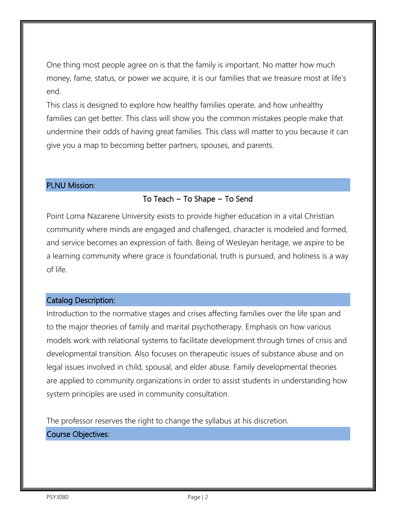One thing most people agree on is that the family is important. No matter how much money, fame, status, or power we acquire, it is our families that we treasure most at life's end.

This class is designed to explore how healthy families operate, and how unhealthy families can get better. This class will show you the common mistakes people make that undermine their odds of having great families. This class will matter to you because it can give you a map to becoming better partners, spouses, and parents.

### PLNU Mission:

# To Teach ~ To Shape ~ To Send

Point Loma Nazarene University exists to provide higher education in a vital Christian community where minds are engaged and challenged, character is modeled and formed, and service becomes an expression of faith. Being of Wesleyan heritage, we aspire to be a learning community where grace is foundational, truth is pursued, and holiness is a way of life.

## Catalog Description:

Introduction to the normative stages and crises affecting families over the life span and to the major theories of family and marital psychotherapy. Emphasis on how various models work with relational systems to facilitate development through times of crisis and developmental transition. Also focuses on therapeutic issues of substance abuse and on legal issues involved in child, spousal, and elder abuse. Family developmental theories are applied to community organizations in order to assist students in understanding how system principles are used in community consultation.

The professor reserves the right to change the syllabus at his discretion.

# Course Objectives: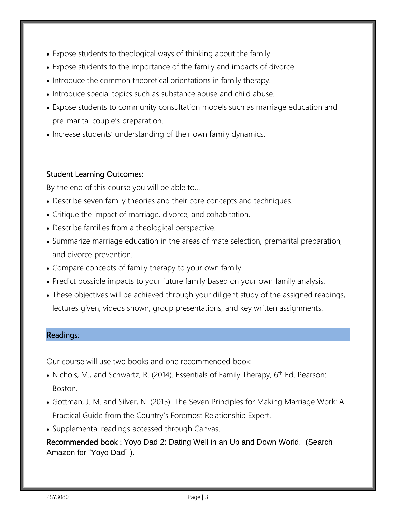- Expose students to theological ways of thinking about the family.
- Expose students to the importance of the family and impacts of divorce.
- Introduce the common theoretical orientations in family therapy.
- Introduce special topics such as substance abuse and child abuse.
- Expose students to community consultation models such as marriage education and pre-marital couple's preparation.
- Increase students' understanding of their own family dynamics.

# Student Learning Outcomes:

By the end of this course you will be able to…

- Describe seven family theories and their core concepts and techniques.
- Critique the impact of marriage, divorce, and cohabitation.
- Describe families from a theological perspective.
- Summarize marriage education in the areas of mate selection, premarital preparation, and divorce prevention.
- Compare concepts of family therapy to your own family.
- Predict possible impacts to your future family based on your own family analysis.
- These objectives will be achieved through your diligent study of the assigned readings, lectures given, videos shown, group presentations, and key written assignments.

### Readings:

Our course will use two books and one recommended book:

- Nichols, M., and Schwartz, R. (2014). Essentials of Family Therapy, 6<sup>th</sup> Ed. Pearson: Boston.
- Gottman, J. M. and Silver, N. (2015). The Seven Principles for Making Marriage Work: A Practical Guide from the Country's Foremost Relationship Expert.
- Supplemental readings accessed through Canvas.

Recommended book : Yoyo Dad 2: Dating Well in an Up and Down World. (Search Amazon for "Yoyo Dad" ).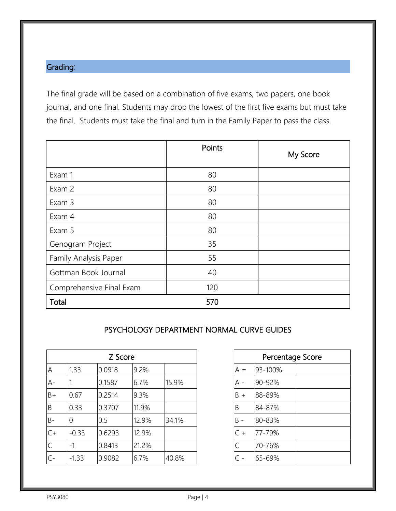# Grading:

The final grade will be based on a combination of five exams, two papers, one book journal, and one final. Students may drop the lowest of the first five exams but must take the final. Students must take the final and turn in the Family Paper to pass the class.

|                          | Points | My Score |
|--------------------------|--------|----------|
| Exam 1                   | 80     |          |
| Exam 2                   | 80     |          |
| Exam 3                   | 80     |          |
| Exam 4                   | 80     |          |
| Exam 5                   | 80     |          |
| Genogram Project         | 35     |          |
| Family Analysis Paper    | 55     |          |
| Gottman Book Journal     | 40     |          |
| Comprehensive Final Exam | 120    |          |
| Total                    | 570    |          |

## PSYCHOLOGY DEPARTMENT NORMAL CURVE GUIDES

| A     | 1.33    | 0.0918 | 9.2%  |       | $A =$    |  |
|-------|---------|--------|-------|-------|----------|--|
| $A -$ |         | 0.1587 | 6.7%  | 15.9% | A -      |  |
| $B+$  | 0.67    | 0.2514 | 9.3%  |       | B<br>$+$ |  |
| B     | 0.33    | 0.3707 | 11.9% |       | B        |  |
| $B -$ | 0       | 0.5    | 12.9% | 34.1% | $B -$    |  |
| $C +$ | $-0.33$ | 0.6293 | 12.9% |       | C<br>$+$ |  |
| C     | $-1$    | 0.8413 | 21.2% |       |          |  |
| $C -$ | $-1.33$ | 0.9082 | 6.7%  | 40.8% |          |  |

| Z Score |       |       | Percentage Score |         |  |
|---------|-------|-------|------------------|---------|--|
| 918     | 9.2%  |       | $A =$            | 93-100% |  |
| 587     | 6.7%  | 15.9% | A -              | 90-92%  |  |
| 514     | 9.3%  |       | $B +$            | 88-89%  |  |
| 707     | 11.9% |       | B                | 84-87%  |  |
|         | 12.9% | 34.1% | $B -$            | 80-83%  |  |
| 293     | 12.9% |       | $C +$            | 77-79%  |  |
| 413     | 21.2% |       |                  | 70-76%  |  |
| 082     | 6.7%  | 40.8% |                  | 65-69%  |  |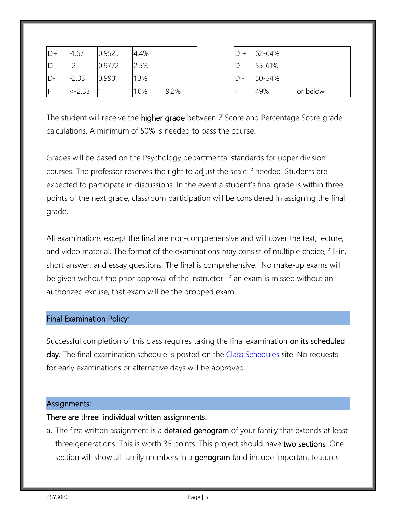| $D+$           | $-1.67$  | 0.9525 | 4.4% |      |  | 62-64% |          |
|----------------|----------|--------|------|------|--|--------|----------|
| $\overline{D}$ | . –      | 0.9772 | 2.5% |      |  | 55-61% |          |
| $D -$          | $-2.33$  | 0.9901 | .3%  |      |  | 50-54% |          |
| IF             | $<-2.33$ |        | 1.0% | 9.2% |  | 49%    | or below |

| $D +$ | 62-64% |          |
|-------|--------|----------|
|       | 55-61% |          |
|       | 50-54% |          |
|       | 49%    | or below |

The student will receive the higher grade between Z Score and Percentage Score grade calculations. A minimum of 50% is needed to pass the course.

Grades will be based on the Psychology departmental standards for upper division courses. The professor reserves the right to adjust the scale if needed. Students are expected to participate in discussions. In the event a student's final grade is within three points of the next grade, classroom participation will be considered in assigning the final grade.

All examinations except the final are non-comprehensive and will cover the text, lecture, and video material. The format of the examinations may consist of multiple choice, fill-in, short answer, and essay questions. The final is comprehensive. No make-up exams will be given without the prior approval of the instructor. If an exam is missed without an authorized excuse, that exam will be the dropped exam.

#### Final Examination Policy:

Successful completion of this class requires taking the final examination on its scheduled day. The final examination schedule is posted on the [Class Schedules](http://www.pointloma.edu/experience/academics/class-schedules) site. No requests for early examinations or alternative days will be approved.

#### Assignments:

#### There are three individual written assignments:

a. The first written assignment is a **detailed genogram** of your family that extends at least three generations. This is worth 35 points. This project should have two sections. One section will show all family members in a genogram (and include important features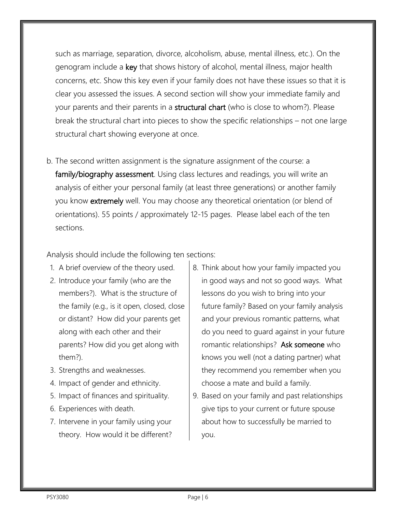such as marriage, separation, divorce, alcoholism, abuse, mental illness, etc.). On the genogram include a key that shows history of alcohol, mental illness, major health concerns, etc. Show this key even if your family does not have these issues so that it is clear you assessed the issues. A second section will show your immediate family and your parents and their parents in a **structural chart** (who is close to whom?). Please break the structural chart into pieces to show the specific relationships – not one large structural chart showing everyone at once.

b. The second written assignment is the signature assignment of the course: a family/biography assessment. Using class lectures and readings, you will write an analysis of either your personal family (at least three generations) or another family you know extremely well. You may choose any theoretical orientation (or blend of orientations). 55 points / approximately 12-15 pages. Please label each of the ten sections.

Analysis should include the following ten sections:

- 1. A brief overview of the theory used.
- 2. Introduce your family (who are the members?). What is the structure of the family (e.g., is it open, closed, close or distant? How did your parents get along with each other and their parents? How did you get along with them?).
- 3. Strengths and weaknesses.
- 4. Impact of gender and ethnicity.
- 5. Impact of finances and spirituality.
- 6. Experiences with death.
- 7. Intervene in your family using your theory. How would it be different?
- 8. Think about how your family impacted you in good ways and not so good ways. What lessons do you wish to bring into your future family? Based on your family analysis and your previous romantic patterns, what do you need to guard against in your future romantic relationships? Ask someone who knows you well (not a dating partner) what they recommend you remember when you choose a mate and build a family.
- 9. Based on your family and past relationships give tips to your current or future spouse about how to successfully be married to you.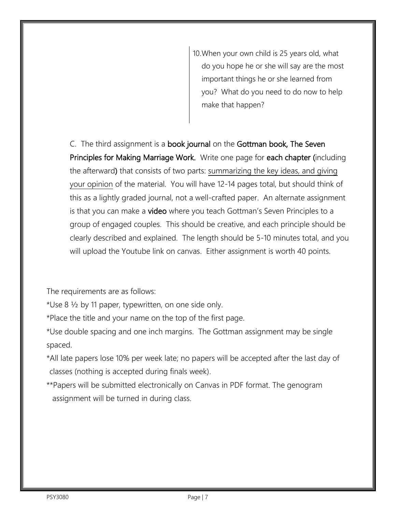10.When your own child is 25 years old, what do you hope he or she will say are the most important things he or she learned from you? What do you need to do now to help make that happen?

C. The third assignment is a book journal on the Gottman book, The Seven Principles for Making Marriage Work. Write one page for each chapter (including the afterward) that consists of two parts: summarizing the key ideas, and giving your opinion of the material. You will have 12-14 pages total, but should think of this as a lightly graded journal, not a well-crafted paper. An alternate assignment is that you can make a video where you teach Gottman's Seven Principles to a group of engaged couples. This should be creative, and each principle should be clearly described and explained. The length should be 5-10 minutes total, and you will upload the Youtube link on canvas. Either assignment is worth 40 points.

The requirements are as follows:

\*Use 8 ½ by 11 paper, typewritten, on one side only.

\*Place the title and your name on the top of the first page.

\*Use double spacing and one inch margins. The Gottman assignment may be single spaced.

- \*All late papers lose 10% per week late; no papers will be accepted after the last day of classes (nothing is accepted during finals week).
- \*\*Papers will be submitted electronically on Canvas in PDF format. The genogram assignment will be turned in during class.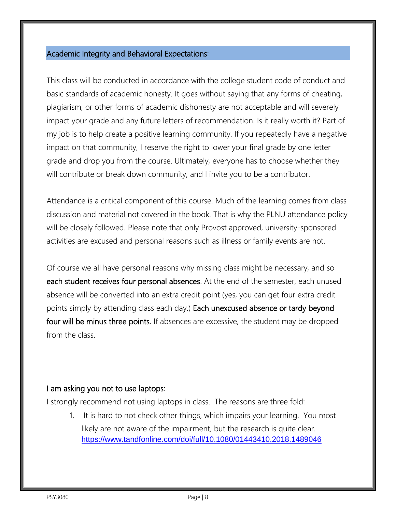### Academic Integrity and Behavioral Expectations:

This class will be conducted in accordance with the college student code of conduct and basic standards of academic honesty. It goes without saying that any forms of cheating, plagiarism, or other forms of academic dishonesty are not acceptable and will severely impact your grade and any future letters of recommendation. Is it really worth it? Part of my job is to help create a positive learning community. If you repeatedly have a negative impact on that community, I reserve the right to lower your final grade by one letter grade and drop you from the course. Ultimately, everyone has to choose whether they will contribute or break down community, and I invite you to be a contributor.

Attendance is a critical component of this course. Much of the learning comes from class discussion and material not covered in the book. That is why the PLNU attendance policy will be closely followed. Please note that only Provost approved, university-sponsored activities are excused and personal reasons such as illness or family events are not.

Of course we all have personal reasons why missing class might be necessary, and so each student receives four personal absences. At the end of the semester, each unused absence will be converted into an extra credit point (yes, you can get four extra credit points simply by attending class each day.) Each unexcused absence or tardy beyond four will be minus three points. If absences are excessive, the student may be dropped from the class.

## I am asking you not to use laptops:

I strongly recommend not using laptops in class. The reasons are three fold:

1. It is hard to not check other things, which impairs your learning. You most likely are not aware of the impairment, but the research is quite clear. <https://www.tandfonline.com/doi/full/10.1080/01443410.2018.1489046>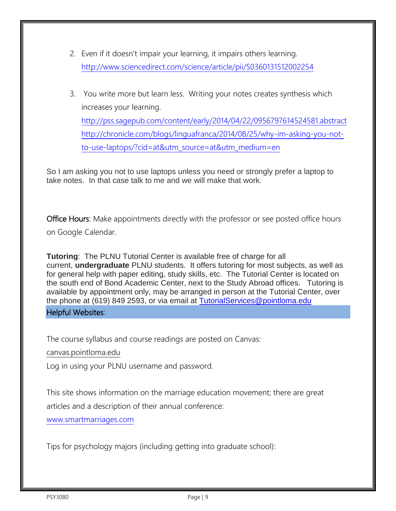- 2. Even if it doesn't impair your learning, it impairs others learning. <http://www.sciencedirect.com/science/article/pii/S0360131512002254>
- 3. You write more but learn less. Writing your notes creates synthesis which increases your learning. <http://pss.sagepub.com/content/early/2014/04/22/0956797614524581.abstract> [http://chronicle.com/blogs/linguafranca/2014/08/25/why-im-asking-you-not](http://chronicle.com/blogs/linguafranca/2014/08/25/why-im-asking-you-not-to-use-laptops/?cid=at&utm_source=at&utm_medium=en)[to-use-laptops/?cid=at&utm\\_source=at&utm\\_medium=en](http://chronicle.com/blogs/linguafranca/2014/08/25/why-im-asking-you-not-to-use-laptops/?cid=at&utm_source=at&utm_medium=en)

So I am asking you not to use laptops unless you need or strongly prefer a laptop to take notes. In that case talk to me and we will make that work.

**Office Hours:** Make appointments directly with the professor or see posted office hours on Google Calendar.

**Tutoring**: The PLNU Tutorial Center is available free of charge for all current, **undergraduate** PLNU students. It offers tutoring for most subjects, as well as for general help with paper editing, study skills, etc. The Tutorial Center is located on the south end of Bond Academic Center, next to the Study Abroad offices. Tutoring is available by appointment only, may be arranged in person at the Tutorial Center, over the phone at (619) 849 2593, or via email at [TutorialServices@pointloma.edu](mailto:TutorialServices@pointloma.edu)

Helpful Websites:

The course syllabus and course readings are posted on Canvas:

canvas.pointloma.edu

Log in using your PLNU username and password.

This site shows information on the marriage education movement; there are great

articles and a description of their annual conference:

[www.smartmarriages.com](file:///C:/Documents%20and%20Settings/jwu/Local%20Settings/Temporary%20Internet%20Files/Content.Outlook/B5BAY09F/www.smartmarriages.com)

Tips for psychology majors (including getting into graduate school):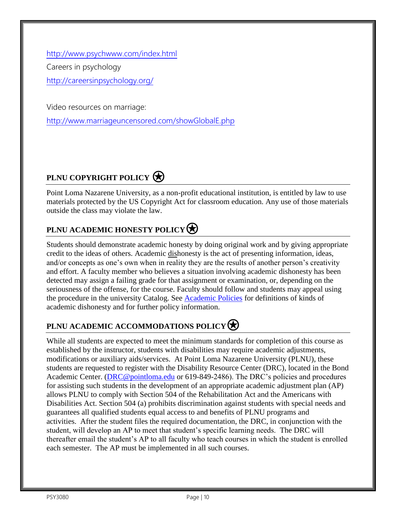<http://www.psychwww.com/index.html> Careers in psychology <http://careersinpsychology.org/>

Video resources on marriage:

<http://www.marriageuncensored.com/showGlobalE.php>

# **PLNU COPYRIGHT POLICY**

Point Loma Nazarene University, as a non-profit educational institution, is entitled by law to use materials protected by the US Copyright Act for classroom education. Any use of those materials outside the class may violate the law.

# **PLNU ACADEMIC HONESTY POLICY**

Students should demonstrate academic honesty by doing original work and by giving appropriate credit to the ideas of others. Academic dishonesty is the act of presenting information, ideas, and/or concepts as one's own when in reality they are the results of another person's creativity and effort. A faculty member who believes a situation involving academic dishonesty has been detected may assign a failing grade for that assignment or examination, or, depending on the seriousness of the offense, for the course. Faculty should follow and students may appeal using the procedure in the university Catalog. See [Academic Policies](http://catalog.pointloma.edu/content.php?catoid=18&navoid=1278) for definitions of kinds of academic dishonesty and for further policy information.

# **PLNU ACADEMIC ACCOMMODATIONS POLICY**

While all students are expected to meet the minimum standards for completion of this course as established by the instructor, students with disabilities may require academic adjustments, modifications or auxiliary aids/services. At Point Loma Nazarene University (PLNU), these students are requested to register with the Disability Resource Center (DRC), located in the Bond Academic Center. [\(DRC@pointloma.edu](mailto:DRC@pointloma.edu) or 619-849-2486). The DRC's policies and procedures for assisting such students in the development of an appropriate academic adjustment plan (AP) allows PLNU to comply with Section 504 of the Rehabilitation Act and the Americans with Disabilities Act. Section 504 (a) prohibits discrimination against students with special needs and guarantees all qualified students equal access to and benefits of PLNU programs and activities. After the student files the required documentation, the DRC, in conjunction with the student, will develop an AP to meet that student's specific learning needs. The DRC will thereafter email the student's AP to all faculty who teach courses in which the student is enrolled each semester. The AP must be implemented in all such courses.